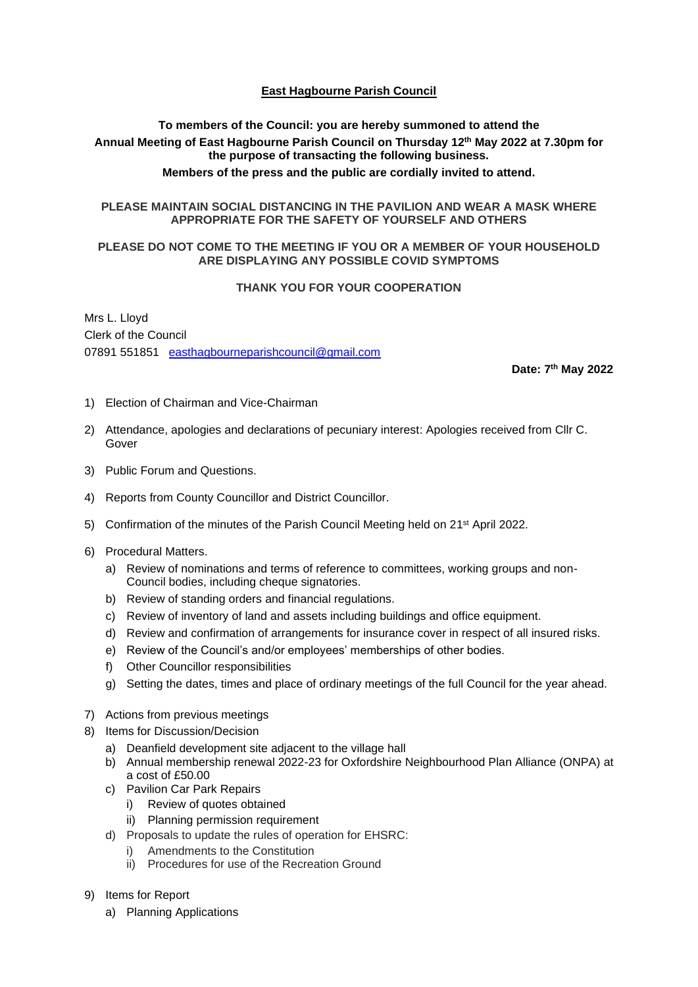### **East Hagbourne Parish Council**

## **To members of the Council: you are hereby summoned to attend the Annual Meeting of East Hagbourne Parish Council on Thursday 12th May 2022 at 7.30pm for the purpose of transacting the following business. Members of the press and the public are cordially invited to attend.**

#### **PLEASE MAINTAIN SOCIAL DISTANCING IN THE PAVILION AND WEAR A MASK WHERE APPROPRIATE FOR THE SAFETY OF YOURSELF AND OTHERS**

#### **PLEASE DO NOT COME TO THE MEETING IF YOU OR A MEMBER OF YOUR HOUSEHOLD ARE DISPLAYING ANY POSSIBLE COVID SYMPTOMS**

#### **THANK YOU FOR YOUR COOPERATION**

Mrs L. Lloyd Clerk of the Council 07891 551851 [easthagbourneparishcouncil@gmail.com](mailto:easthagbourneparishcouncil@gmail.com)

**Date: 7 th May 2022**

- 1) Election of Chairman and Vice-Chairman
- 2) Attendance, apologies and declarations of pecuniary interest: Apologies received from Cllr C. Gover
- 3) Public Forum and Questions.
- 4) Reports from County Councillor and District Councillor.
- 5) Confirmation of the minutes of the Parish Council Meeting held on  $21^{st}$  April 2022.
- 6) Procedural Matters.
	- a) Review of nominations and terms of reference to committees, working groups and non-Council bodies, including cheque signatories.
	- b) Review of standing orders and financial regulations.
	- c) Review of inventory of land and assets including buildings and office equipment.
	- d) Review and confirmation of arrangements for insurance cover in respect of all insured risks.
	- e) Review of the Council's and/or employees' memberships of other bodies.
	- f) Other Councillor responsibilities
	- g) Setting the dates, times and place of ordinary meetings of the full Council for the year ahead.
- 7) Actions from previous meetings
- 8) Items for Discussion/Decision
	- a) Deanfield development site adjacent to the village hall
	- b) Annual membership renewal 2022-23 for Oxfordshire Neighbourhood Plan Alliance (ONPA) at a cost of £50.00
	- c) Pavilion Car Park Repairs
		- i) Review of quotes obtained
		- ii) Planning permission requirement
	- d) Proposals to update the rules of operation for EHSRC:
		- i) Amendments to the Constitution
		- ii) Procedures for use of the Recreation Ground
- 9) Items for Report
	- a) Planning Applications